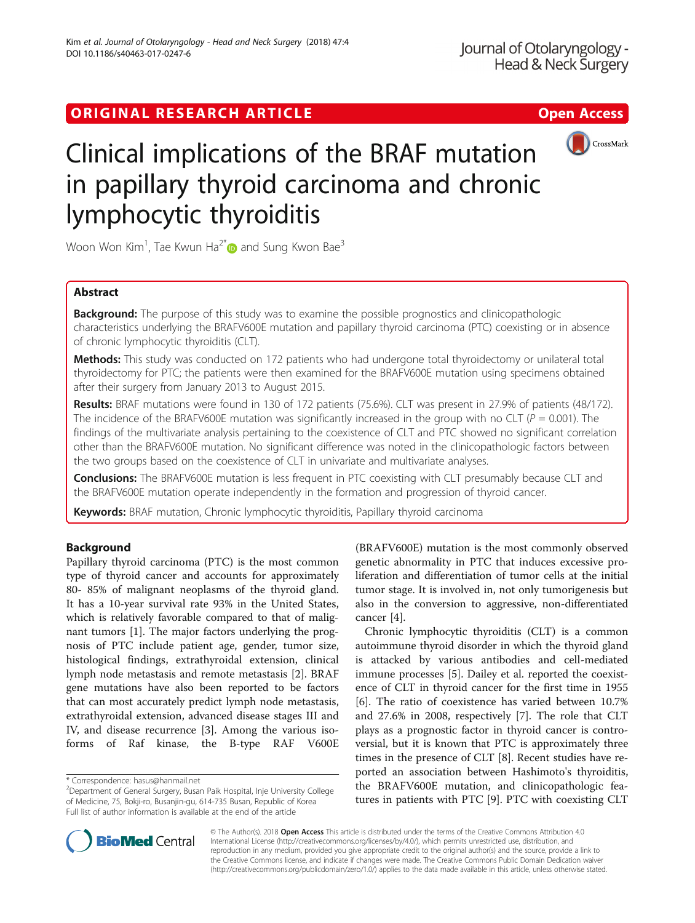## ORIGINAL RESEARCH ARTICLE **External of the Contract Contract Contract Contract Contract Contract Contract Contract Contract Contract Contract Contract Contract Contract Contract Contract Contract Contract Contract Contract**



# Clinical implications of the BRAF mutation in papillary thyroid carcinoma and chronic lymphocytic thyroiditis

Woon Won Kim<sup>1</sup>, Tae Kwun Ha<sup>2[\\*](http://orcid.org/0000-0001-7980-3700)</sup> $\textcolor{blue}{\bullet}$  and Sung Kwon Bae<sup>3</sup>

## Abstract

**Background:** The purpose of this study was to examine the possible prognostics and clinicopathologic characteristics underlying the BRAFV600E mutation and papillary thyroid carcinoma (PTC) coexisting or in absence of chronic lymphocytic thyroiditis (CLT).

Methods: This study was conducted on 172 patients who had undergone total thyroidectomy or unilateral total thyroidectomy for PTC; the patients were then examined for the BRAFV600E mutation using specimens obtained after their surgery from January 2013 to August 2015.

Results: BRAF mutations were found in 130 of 172 patients (75.6%). CLT was present in 27.9% of patients (48/172). The incidence of the BRAFV600E mutation was significantly increased in the group with no CLT ( $P = 0.001$ ). The findings of the multivariate analysis pertaining to the coexistence of CLT and PTC showed no significant correlation other than the BRAFV600E mutation. No significant difference was noted in the clinicopathologic factors between the two groups based on the coexistence of CLT in univariate and multivariate analyses.

**Conclusions:** The BRAFV600E mutation is less frequent in PTC coexisting with CLT presumably because CLT and the BRAFV600E mutation operate independently in the formation and progression of thyroid cancer.

Keywords: BRAF mutation, Chronic lymphocytic thyroiditis, Papillary thyroid carcinoma

## Background

Papillary thyroid carcinoma (PTC) is the most common type of thyroid cancer and accounts for approximately 80- 85% of malignant neoplasms of the thyroid gland. It has a 10-year survival rate 93% in the United States, which is relatively favorable compared to that of malignant tumors [\[1](#page-4-0)]. The major factors underlying the prognosis of PTC include patient age, gender, tumor size, histological findings, extrathyroidal extension, clinical lymph node metastasis and remote metastasis [[2\]](#page-4-0). BRAF gene mutations have also been reported to be factors that can most accurately predict lymph node metastasis, extrathyroidal extension, advanced disease stages III and IV, and disease recurrence [[3\]](#page-4-0). Among the various isoforms of Raf kinase, the B-type RAF V600E

(BRAFV600E) mutation is the most commonly observed genetic abnormality in PTC that induces excessive proliferation and differentiation of tumor cells at the initial tumor stage. It is involved in, not only tumorigenesis but also in the conversion to aggressive, non-differentiated cancer [[4](#page-4-0)].

Chronic lymphocytic thyroiditis (CLT) is a common autoimmune thyroid disorder in which the thyroid gland is attacked by various antibodies and cell-mediated immune processes [\[5\]](#page-5-0). Dailey et al. reported the coexistence of CLT in thyroid cancer for the first time in 1955 [[6\]](#page-5-0). The ratio of coexistence has varied between 10.7% and 27.6% in 2008, respectively [\[7](#page-5-0)]. The role that CLT plays as a prognostic factor in thyroid cancer is controversial, but it is known that PTC is approximately three times in the presence of CLT [\[8](#page-5-0)]. Recent studies have reported an association between Hashimoto's thyroiditis, the BRAFV600E mutation, and clinicopathologic features in patients with PTC [[9](#page-5-0)]. PTC with coexisting CLT



© The Author(s). 2018 Open Access This article is distributed under the terms of the Creative Commons Attribution 4.0 International License [\(http://creativecommons.org/licenses/by/4.0/](http://creativecommons.org/licenses/by/4.0/)), which permits unrestricted use, distribution, and reproduction in any medium, provided you give appropriate credit to the original author(s) and the source, provide a link to the Creative Commons license, and indicate if changes were made. The Creative Commons Public Domain Dedication waiver [\(http://creativecommons.org/publicdomain/zero/1.0/](http://creativecommons.org/publicdomain/zero/1.0/)) applies to the data made available in this article, unless otherwise stated.

<sup>\*</sup> Correspondence: [hasus@hanmail.net](mailto:hasus@hanmail.net) <sup>2</sup>

<sup>&</sup>lt;sup>2</sup>Department of General Surgery, Busan Paik Hospital, Inje University College of Medicine, 75, Bokji-ro, Busanjin-gu, 614-735 Busan, Republic of Korea Full list of author information is available at the end of the article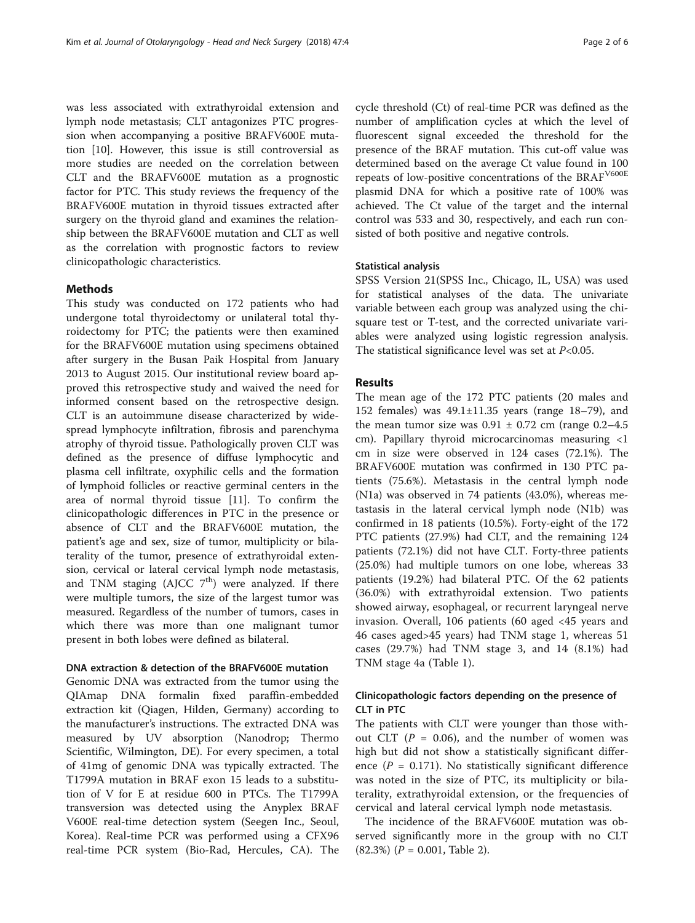was less associated with extrathyroidal extension and lymph node metastasis; CLT antagonizes PTC progression when accompanying a positive BRAFV600E mutation [[10\]](#page-5-0). However, this issue is still controversial as more studies are needed on the correlation between CLT and the BRAFV600E mutation as a prognostic factor for PTC. This study reviews the frequency of the BRAFV600E mutation in thyroid tissues extracted after surgery on the thyroid gland and examines the relationship between the BRAFV600E mutation and CLT as well as the correlation with prognostic factors to review clinicopathologic characteristics.

#### Methods

This study was conducted on 172 patients who had undergone total thyroidectomy or unilateral total thyroidectomy for PTC; the patients were then examined for the BRAFV600E mutation using specimens obtained after surgery in the Busan Paik Hospital from January 2013 to August 2015. Our institutional review board approved this retrospective study and waived the need for informed consent based on the retrospective design. CLT is an autoimmune disease characterized by widespread lymphocyte infiltration, fibrosis and parenchyma atrophy of thyroid tissue. Pathologically proven CLT was defined as the presence of diffuse lymphocytic and plasma cell infiltrate, oxyphilic cells and the formation of lymphoid follicles or reactive germinal centers in the area of normal thyroid tissue [\[11\]](#page-5-0). To confirm the clinicopathologic differences in PTC in the presence or absence of CLT and the BRAFV600E mutation, the patient's age and sex, size of tumor, multiplicity or bilaterality of the tumor, presence of extrathyroidal extension, cervical or lateral cervical lymph node metastasis, and TNM staging (AJCC  $7<sup>th</sup>$ ) were analyzed. If there were multiple tumors, the size of the largest tumor was measured. Regardless of the number of tumors, cases in which there was more than one malignant tumor present in both lobes were defined as bilateral.

#### DNA extraction & detection of the BRAFV600E mutation

Genomic DNA was extracted from the tumor using the QIAmap DNA formalin fixed paraffin-embedded extraction kit (Qiagen, Hilden, Germany) according to the manufacturer's instructions. The extracted DNA was measured by UV absorption (Nanodrop; Thermo Scientific, Wilmington, DE). For every specimen, a total of 41mg of genomic DNA was typically extracted. The T1799A mutation in BRAF exon 15 leads to a substitution of V for E at residue 600 in PTCs. The T1799A transversion was detected using the Anyplex BRAF V600E real-time detection system (Seegen Inc., Seoul, Korea). Real-time PCR was performed using a CFX96 real-time PCR system (Bio-Rad, Hercules, CA). The

cycle threshold (Ct) of real-time PCR was defined as the number of amplification cycles at which the level of fluorescent signal exceeded the threshold for the presence of the BRAF mutation. This cut-off value was determined based on the average Ct value found in 100 repeats of low-positive concentrations of the BRAF<sup>V600E</sup> plasmid DNA for which a positive rate of 100% was achieved. The Ct value of the target and the internal control was 533 and 30, respectively, and each run consisted of both positive and negative controls.

#### Statistical analysis

SPSS Version 21(SPSS Inc., Chicago, IL, USA) was used for statistical analyses of the data. The univariate variable between each group was analyzed using the chisquare test or T-test, and the corrected univariate variables were analyzed using logistic regression analysis. The statistical significance level was set at  $P<0.05$ .

#### Results

The mean age of the 172 PTC patients (20 males and 152 females) was 49.1±11.35 years (range 18–79), and the mean tumor size was  $0.91 \pm 0.72$  cm (range  $0.2-4.5$ ) cm). Papillary thyroid microcarcinomas measuring <1 cm in size were observed in 124 cases (72.1%). The BRAFV600E mutation was confirmed in 130 PTC patients (75.6%). Metastasis in the central lymph node (N1a) was observed in 74 patients (43.0%), whereas metastasis in the lateral cervical lymph node (N1b) was confirmed in 18 patients (10.5%). Forty-eight of the 172 PTC patients (27.9%) had CLT, and the remaining 124 patients (72.1%) did not have CLT. Forty-three patients (25.0%) had multiple tumors on one lobe, whereas 33 patients (19.2%) had bilateral PTC. Of the 62 patients (36.0%) with extrathyroidal extension. Two patients showed airway, esophageal, or recurrent laryngeal nerve invasion. Overall, 106 patients (60 aged <45 years and 46 cases aged>45 years) had TNM stage 1, whereas 51 cases (29.7%) had TNM stage 3, and 14 (8.1%) had TNM stage 4a (Table [1](#page-2-0)).

#### Clinicopathologic factors depending on the presence of CLT in PTC

The patients with CLT were younger than those without CLT ( $P = 0.06$ ), and the number of women was high but did not show a statistically significant difference ( $P = 0.171$ ). No statistically significant difference was noted in the size of PTC, its multiplicity or bilaterality, extrathyroidal extension, or the frequencies of cervical and lateral cervical lymph node metastasis.

The incidence of the BRAFV600E mutation was observed significantly more in the group with no CLT  $(82.3\%) (P = 0.001, Table 2).$  $(82.3\%) (P = 0.001, Table 2).$  $(82.3\%) (P = 0.001, Table 2).$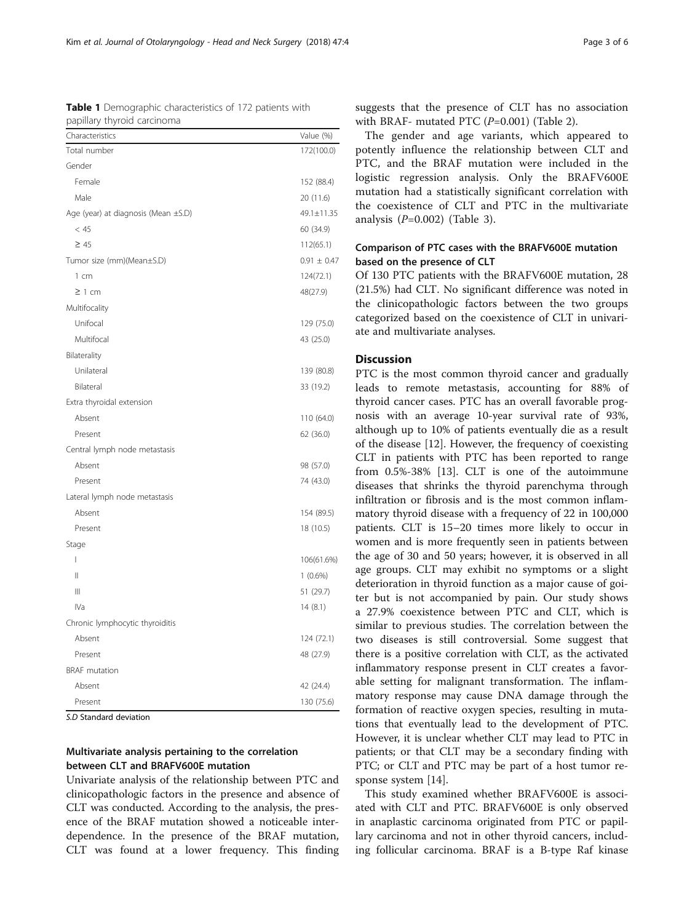S.D Standard deviation

## Multivariate analysis pertaining to the correlation

between CLT and BRAFV600E mutation

Univariate analysis of the relationship between PTC and clinicopathologic factors in the presence and absence of CLT was conducted. According to the analysis, the presence of the BRAF mutation showed a noticeable interdependence. In the presence of the BRAF mutation, CLT was found at a lower frequency. This finding

suggests that the presence of CLT has no association with BRAF- mutated PTC  $(P=0.001)$  (Table [2](#page-3-0)).

The gender and age variants, which appeared to potently influence the relationship between CLT and PTC, and the BRAF mutation were included in the logistic regression analysis. Only the BRAFV600E mutation had a statistically significant correlation with the coexistence of CLT and PTC in the multivariate analysis  $(P=0.002)$  (Table [3\)](#page-3-0).

### Comparison of PTC cases with the BRAFV600E mutation based on the presence of CLT

Of 130 PTC patients with the BRAFV600E mutation, 28 (21.5%) had CLT. No significant difference was noted in the clinicopathologic factors between the two groups categorized based on the coexistence of CLT in univariate and multivariate analyses.

#### **Discussion**

PTC is the most common thyroid cancer and gradually leads to remote metastasis, accounting for 88% of thyroid cancer cases. PTC has an overall favorable prognosis with an average 10-year survival rate of 93%, although up to 10% of patients eventually die as a result of the disease [\[12\]](#page-5-0). However, the frequency of coexisting CLT in patients with PTC has been reported to range from 0.5%-38% [[13\]](#page-5-0). CLT is one of the autoimmune diseases that shrinks the thyroid parenchyma through infiltration or fibrosis and is the most common inflammatory thyroid disease with a frequency of 22 in 100,000 patients. CLT is 15–20 times more likely to occur in women and is more frequently seen in patients between the age of 30 and 50 years; however, it is observed in all age groups. CLT may exhibit no symptoms or a slight deterioration in thyroid function as a major cause of goiter but is not accompanied by pain. Our study shows a 27.9% coexistence between PTC and CLT, which is similar to previous studies. The correlation between the two diseases is still controversial. Some suggest that there is a positive correlation with CLT, as the activated inflammatory response present in CLT creates a favorable setting for malignant transformation. The inflammatory response may cause DNA damage through the formation of reactive oxygen species, resulting in mutations that eventually lead to the development of PTC. However, it is unclear whether CLT may lead to PTC in patients; or that CLT may be a secondary finding with PTC; or CLT and PTC may be part of a host tumor response system [\[14\]](#page-5-0).

This study examined whether BRAFV600E is associated with CLT and PTC. BRAFV600E is only observed in anaplastic carcinoma originated from PTC or papillary carcinoma and not in other thyroid cancers, including follicular carcinoma. BRAF is a B-type Raf kinase

<span id="page-2-0"></span>

| Table 1 Demographic characteristics of 172 patients with |
|----------------------------------------------------------|
| papillary thyroid carcinoma                              |

| Characteristics                     | Value (%)       |
|-------------------------------------|-----------------|
| Total number                        | 172(100.0)      |
| Gender                              |                 |
| Female                              | 152 (88.4)      |
| Male                                | 20 (11.6)       |
| Age (year) at diagnosis (Mean ±S.D) | 49.1±11.35      |
| < 45                                | 60 (34.9)       |
| $\geq 45$                           | 112(65.1)       |
| Tumor size (mm)(Mean±S.D)           | $0.91 \pm 0.47$ |
| 1 cm                                | 124(72.1)       |
| $\geq$ 1 cm                         | 48(27.9)        |
| Multifocality                       |                 |
| Unifocal                            | 129 (75.0)      |
| Multifocal                          | 43 (25.0)       |
| Bilaterality                        |                 |
| Unilateral                          | 139 (80.8)      |
| Bilateral                           | 33 (19.2)       |
| Extra thyroidal extension           |                 |
| Absent                              | 110 (64.0)      |
| Present                             | 62 (36.0)       |
| Central lymph node metastasis       |                 |
| Absent                              | 98 (57.0)       |
| Present                             | 74 (43.0)       |
| Lateral lymph node metastasis       |                 |
| Absent                              | 154 (89.5)      |
| Present                             | 18 (10.5)       |
| Stage                               |                 |
| T                                   | 106(61.6%)      |
| $\mathop{  }$                       | $1(0.6\%)$      |
| $\parallel \parallel$               | 51 (29.7)       |
| IVa                                 | 14(8.1)         |
| Chronic lymphocytic thyroiditis     |                 |
| Absent                              | 124 (72.1)      |
| Present                             | 48 (27.9)       |
| <b>BRAF</b> mutation                |                 |
| Absent                              | 42 (24.4)       |
| Present                             | 130 (75.6)      |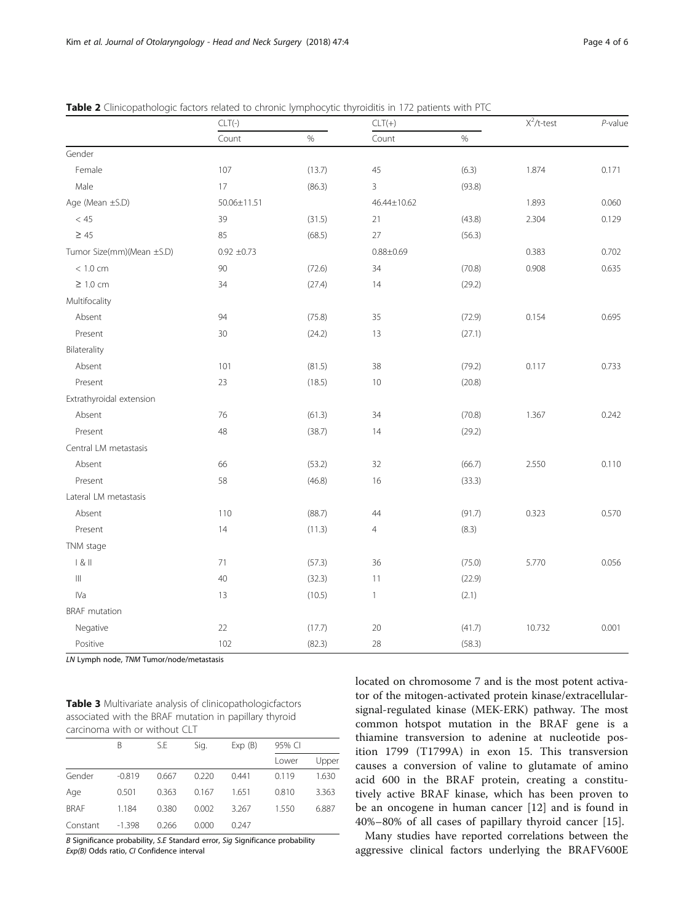|                                    | $CLT(-)$        |        | $CLT(+)$       |        | $X^2$ /t-test | $P$ -value |
|------------------------------------|-----------------|--------|----------------|--------|---------------|------------|
|                                    | Count           | $\%$   | Count          | $\%$   |               |            |
| Gender                             |                 |        |                |        |               |            |
| Female                             | 107             | (13.7) | 45             | (6.3)  | 1.874         | 0.171      |
| Male                               | 17              | (86.3) | 3              | (93.8) |               |            |
| Age (Mean ±S.D)                    | 50.06±11.51     |        | 46.44±10.62    |        | 1.893         | 0.060      |
| $<45\,$                            | 39              | (31.5) | 21             | (43.8) | 2.304         | 0.129      |
| $\geq 45$                          | 85              | (68.5) | 27             | (56.3) |               |            |
| Tumor Size(mm)(Mean ±S.D)          | $0.92 \pm 0.73$ |        | $0.88 + 0.69$  |        | 0.383         | 0.702      |
| < 1.0 cm                           | 90              | (72.6) | 34             | (70.8) | 0.908         | 0.635      |
| $\geq 1.0$ cm                      | 34              | (27.4) | 14             | (29.2) |               |            |
| Multifocality                      |                 |        |                |        |               |            |
| Absent                             | 94              | (75.8) | 35             | (72.9) | 0.154         | 0.695      |
| Present                            | 30              | (24.2) | 13             | (27.1) |               |            |
| Bilaterality                       |                 |        |                |        |               |            |
| Absent                             | 101             | (81.5) | 38             | (79.2) | 0.117         | 0.733      |
| Present                            | 23              | (18.5) | $10$           | (20.8) |               |            |
| Extrathyroidal extension           |                 |        |                |        |               |            |
| Absent                             | 76              | (61.3) | 34             | (70.8) | 1.367         | 0.242      |
| Present                            | 48              | (38.7) | 14             | (29.2) |               |            |
| Central LM metastasis              |                 |        |                |        |               |            |
| Absent                             | 66              | (53.2) | 32             | (66.7) | 2.550         | 0.110      |
| Present                            | 58              | (46.8) | 16             | (33.3) |               |            |
| Lateral LM metastasis              |                 |        |                |        |               |            |
| Absent                             | 110             | (88.7) | $44\,$         | (91.7) | 0.323         | 0.570      |
| Present                            | 14              | (11.3) | $\overline{4}$ | (8.3)  |               |            |
| TNM stage                          |                 |        |                |        |               |            |
| 8                                  | 71              | (57.3) | 36             | (75.0) | 5.770         | 0.056      |
| $\ensuremath{\mathsf{III}}\xspace$ | 40              | (32.3) | 11             | (22.9) |               |            |
| IVa                                | 13              | (10.5) | 1              | (2.1)  |               |            |
| <b>BRAF</b> mutation               |                 |        |                |        |               |            |
| Negative                           | 22              | (17.7) | 20             | (41.7) | 10.732        | 0.001      |
| Positive                           | 102             | (82.3) | 28             | (58.3) |               |            |

<span id="page-3-0"></span>Table 2 Clinicopathologic factors related to chronic lymphocytic thyroiditis in 172 patients with PTC

LN Lymph node, TNM Tumor/node/metastasis

| Table 3 Multivariate analysis of clinicopathologicfactors |
|-----------------------------------------------------------|
| associated with the BRAF mutation in papillary thyroid    |
| carcinoma with or without CLT                             |

|             | B        | S.E   | Sig.  | Exp(B) | 95% CI |       |
|-------------|----------|-------|-------|--------|--------|-------|
|             |          |       |       |        | Lower  | Upper |
| Gender      | $-0.819$ | 0.667 | 0.220 | 0.441  | 0.119  | 1.630 |
| Age         | 0.501    | 0.363 | 0.167 | 1.651  | 0.810  | 3.363 |
| <b>BRAF</b> | 1.184    | 0.380 | 0.002 | 3.267  | 1.550  | 6.887 |
| Constant    | $-1.398$ | 0.266 | 0.000 | 0.247  |        |       |

B Significance probability, S.E Standard error, Sig Significance probability Exp(B) Odds ratio, CI Confidence interval

located on chromosome 7 and is the most potent activator of the mitogen-activated protein kinase/extracellularsignal-regulated kinase (MEK-ERK) pathway. The most common hotspot mutation in the BRAF gene is a thiamine transversion to adenine at nucleotide position 1799 (T1799A) in exon 15. This transversion causes a conversion of valine to glutamate of amino acid 600 in the BRAF protein, creating a constitutively active BRAF kinase, which has been proven to be an oncogene in human cancer [\[12](#page-5-0)] and is found in 40%–80% of all cases of papillary thyroid cancer [[15\]](#page-5-0).

Many studies have reported correlations between the aggressive clinical factors underlying the BRAFV600E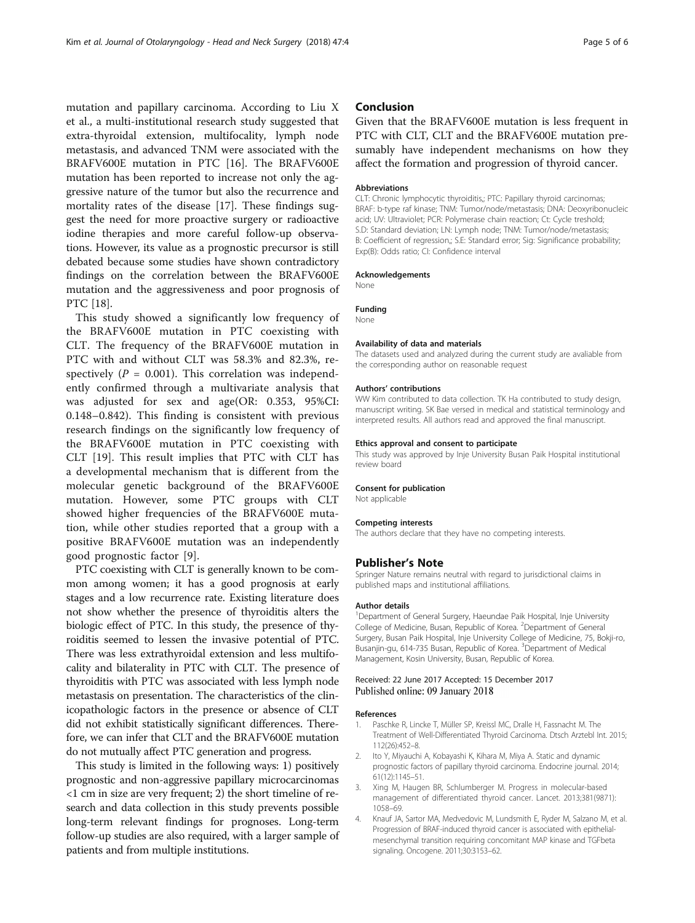<span id="page-4-0"></span>mutation and papillary carcinoma. According to [Liu X](https://www.ncbi.nlm.nih.gov/pubmed/?term=Liu%20X%5BAuthor%5D&cauthor=true&cauthor_uid=24389984) et al., a multi-institutional research study suggested that extra-thyroidal extension, multifocality, lymph node metastasis, and advanced TNM were associated with the BRAFV600E mutation in PTC [[16\]](#page-5-0). The BRAFV600E mutation has been reported to increase not only the aggressive nature of the tumor but also the recurrence and mortality rates of the disease [[17\]](#page-5-0). These findings suggest the need for more proactive surgery or radioactive iodine therapies and more careful follow-up observations. However, its value as a prognostic precursor is still debated because some studies have shown contradictory findings on the correlation between the BRAFV600E mutation and the aggressiveness and poor prognosis of PTC [\[18](#page-5-0)].

This study showed a significantly low frequency of the BRAFV600E mutation in PTC coexisting with CLT. The frequency of the BRAFV600E mutation in PTC with and without CLT was 58.3% and 82.3%, respectively ( $P = 0.001$ ). This correlation was independently confirmed through a multivariate analysis that was adjusted for sex and age(OR: 0.353, 95%CI: 0.148–0.842). This finding is consistent with previous research findings on the significantly low frequency of the BRAFV600E mutation in PTC coexisting with CLT [[19\]](#page-5-0). This result implies that PTC with CLT has a developmental mechanism that is different from the molecular genetic background of the BRAFV600E mutation. However, some PTC groups with CLT showed higher frequencies of the BRAFV600E mutation, while other studies reported that a group with a positive BRAFV600E mutation was an independently good prognostic factor [\[9](#page-5-0)].

PTC coexisting with CLT is generally known to be common among women; it has a good prognosis at early stages and a low recurrence rate. Existing literature does not show whether the presence of thyroiditis alters the biologic effect of PTC. In this study, the presence of thyroiditis seemed to lessen the invasive potential of PTC. There was less extrathyroidal extension and less multifocality and bilaterality in PTC with CLT. The presence of thyroiditis with PTC was associated with less lymph node metastasis on presentation. The characteristics of the clinicopathologic factors in the presence or absence of CLT did not exhibit statistically significant differences. Therefore, we can infer that CLT and the BRAFV600E mutation do not mutually affect PTC generation and progress.

This study is limited in the following ways: 1) positively prognostic and non-aggressive papillary microcarcinomas <1 cm in size are very frequent; 2) the short timeline of research and data collection in this study prevents possible long-term relevant findings for prognoses. Long-term follow-up studies are also required, with a larger sample of patients and from multiple institutions.

#### Conclusion

Given that the BRAFV600E mutation is less frequent in PTC with CLT, CLT and the BRAFV600E mutation presumably have independent mechanisms on how they affect the formation and progression of thyroid cancer.

#### Abbreviations

CLT: Chronic lymphocytic thyroiditis,; PTC: Papillary thyroid carcinomas; BRAF: b-type raf kinase; TNM: Tumor/node/metastasis; DNA: Deoxyribonucleic acid; UV: Ultraviolet; PCR: Polymerase chain reaction; Ct: Cycle treshold; S.D: Standard deviation; LN: Lymph node; TNM: Tumor/node/metastasis; B: Coefficient of regression,; S.E: Standard error; Sig: Significance probability; Exp(B): Odds ratio; CI: Confidence interval

#### Acknowledgements

None

#### Funding

None

#### Availability of data and materials

The datasets used and analyzed during the current study are avaliable from the corresponding author on reasonable request

#### Authors' contributions

WW Kim contributed to data collection. TK Ha contributed to study design, manuscript writing. SK Bae versed in medical and statistical terminology and interpreted results. All authors read and approved the final manuscript.

#### Ethics approval and consent to participate

This study was approved by Inje University Busan Paik Hospital institutional review board

#### Consent for publication

Not applicable

#### Competing interests

The authors declare that they have no competing interests.

#### Publisher's Note

Springer Nature remains neutral with regard to jurisdictional claims in published maps and institutional affiliations.

#### Author details

<sup>1</sup>Department of General Surgery, Haeundae Paik Hospital, Inje University College of Medicine, Busan, Republic of Korea. <sup>2</sup>Department of General Surgery, Busan Paik Hospital, Inje University College of Medicine, 75, Bokji-ro, Busanjin-gu, 614-735 Busan, Republic of Korea. <sup>3</sup>Department of Medical Management, Kosin University, Busan, Republic of Korea.

#### Received: 22 June 2017 Accepted: 15 December 2017 Published online: 09 January 2018

#### References

- Paschke R, Lincke T, Müller SP, Kreissl MC, Dralle H, Fassnacht M. The Treatment of Well-Differentiated Thyroid Carcinoma. Dtsch Arztebl Int. 2015; 112(26):452–8.
- 2. Ito Y, Miyauchi A, Kobayashi K, Kihara M, Miya A. Static and dynamic prognostic factors of papillary thyroid carcinoma. Endocrine journal. 2014; 61(12):1145–51.
- 3. Xing M, Haugen BR, Schlumberger M. Progress in molecular-based management of differentiated thyroid cancer. Lancet. 2013;381(9871): 1058–69.
- 4. Knauf JA, Sartor MA, Medvedovic M, Lundsmith E, Ryder M, Salzano M, et al. Progression of BRAF-induced thyroid cancer is associated with epithelialmesenchymal transition requiring concomitant MAP kinase and TGFbeta signaling. Oncogene. 2011;30:3153–62.